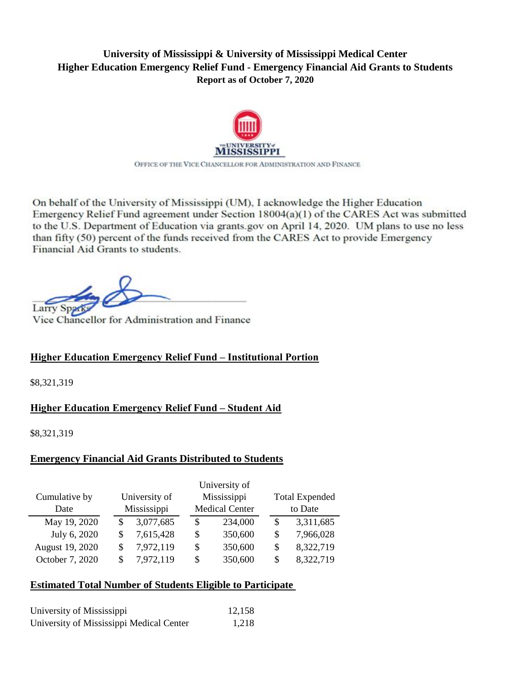# **University of Mississippi & University of Mississippi Medical Center Higher Education Emergency Relief Fund - Emergency Financial Aid Grants to Students Report as of October 7, 2020**



On behalf of the University of Mississippi (UM), I acknowledge the Higher Education Emergency Relief Fund agreement under Section 18004(a)(1) of the CARES Act was submitted to the U.S. Department of Education via grants.gov on April 14, 2020. UM plans to use no less than fifty (50) percent of the funds received from the CARES Act to provide Emergency Financial Aid Grants to students.

Larry Sparks Vice Chancellor for Administration and Financellor for Administration and Financellor for Administration and Financellor for Administration and Financellor for Administration and Financellor for Administration

Vice Chancellor for Administration and Finance

# **Higher Education Emergency Relief Fund – Institutional Portion**

\$8,321,319

# **Higher Education Emergency Relief Fund – Student Aid**

\$8,321,319

### **Emergency Financial Aid Grants Distributed to Students**

|                 |             |               |                       | University of |         |                       |  |
|-----------------|-------------|---------------|-----------------------|---------------|---------|-----------------------|--|
| Cumulative by   |             | University of |                       | Mississippi   |         | <b>Total Expended</b> |  |
| Date            | Mississippi |               | <b>Medical Center</b> |               | to Date |                       |  |
| May 19, 2020    | S           | 3,077,685     | S                     | 234,000       | S       | 3,311,685             |  |
| July 6, 2020    | S           | 7,615,428     | \$                    | 350,600       | S       | 7,966,028             |  |
| August 19, 2020 | S           | 7,972,119     | \$                    | 350,600       | S       | 8,322,719             |  |
| October 7, 2020 | S           | 7,972,119     | \$                    | 350,600       | S       | 8,322,719             |  |

# **Estimated Total Number of Students Eligible to Participate**

| University of Mississippi                | 12,158 |
|------------------------------------------|--------|
| University of Mississippi Medical Center | 1.218  |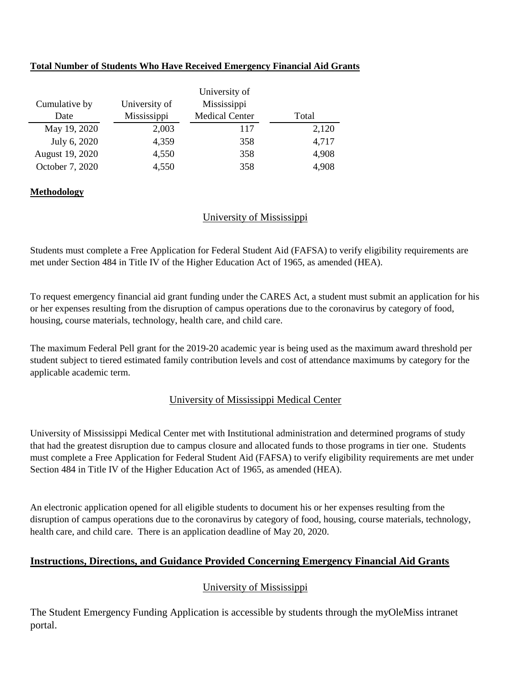#### **Total Number of Students Who Have Received Emergency Financial Aid Grants**

|                 |               | University of         |       |
|-----------------|---------------|-----------------------|-------|
| Cumulative by   | University of | Mississippi           |       |
| Date            | Mississippi   | <b>Medical Center</b> | Total |
| May 19, 2020    | 2,003         | 117                   | 2,120 |
| July 6, 2020    | 4,359         | 358                   | 4,717 |
| August 19, 2020 | 4,550         | 358                   | 4,908 |
| October 7, 2020 | 4,550         | 358                   | 4,908 |

#### **Methodology**

### University of Mississippi

Students must complete a Free Application for Federal Student Aid (FAFSA) to verify eligibility requirements are met under Section 484 in Title IV of the Higher Education Act of 1965, as amended (HEA).

To request emergency financial aid grant funding under the CARES Act, a student must submit an application for his or her expenses resulting from the disruption of campus operations due to the coronavirus by category of food, housing, course materials, technology, health care, and child care.

The maximum Federal Pell grant for the 2019-20 academic year is being used as the maximum award threshold per student subject to tiered estimated family contribution levels and cost of attendance maximums by category for the applicable academic term.

### University of Mississippi Medical Center

University of Mississippi Medical Center met with Institutional administration and determined programs of study that had the greatest disruption due to campus closure and allocated funds to those programs in tier one. Students must complete a Free Application for Federal Student Aid (FAFSA) to verify eligibility requirements are met under Section 484 in Title IV of the Higher Education Act of 1965, as amended (HEA).

An electronic application opened for all eligible students to document his or her expenses resulting from the disruption of campus operations due to the coronavirus by category of food, housing, course materials, technology, health care, and child care. There is an application deadline of May 20, 2020.

### **Instructions, Directions, and Guidance Provided Concerning Emergency Financial Aid Grants**

### University of Mississippi

The Student Emergency Funding Application is accessible by students through the myOleMiss intranet portal.